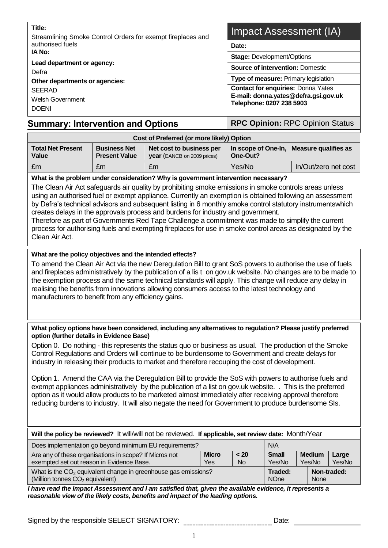| Title:<br>Streamlining Smoke Control Orders for exempt fireplaces and | <b>Impact Assessment (IA)</b>                                                                                                                                                                    |  |  |  |
|-----------------------------------------------------------------------|--------------------------------------------------------------------------------------------------------------------------------------------------------------------------------------------------|--|--|--|
| authorised fuels                                                      | Date:                                                                                                                                                                                            |  |  |  |
| IA No:                                                                | <b>Stage: Development/Options</b>                                                                                                                                                                |  |  |  |
| Lead department or agency:<br>Defra                                   | <b>Source of intervention: Domestic</b><br>Type of measure: Primary legislation<br><b>Contact for enquiries: Donna Yates</b><br>E-mail: donna.yates@defra.gsi.gov.uk<br>Telephone: 0207 238 5903 |  |  |  |
| Other departments or agencies:                                        |                                                                                                                                                                                                  |  |  |  |
| <b>SEERAD</b>                                                         |                                                                                                                                                                                                  |  |  |  |
| Welsh Government                                                      |                                                                                                                                                                                                  |  |  |  |
| <b>DOENI</b>                                                          |                                                                                                                                                                                                  |  |  |  |
|                                                                       |                                                                                                                                                                                                  |  |  |  |

# **Summary: Intervention and Options | RPC Opinion: RPC Opinion Status**

| Cost of Preferred (or more likely) Option |                                             |                                                                |                                                      |                      |  |
|-------------------------------------------|---------------------------------------------|----------------------------------------------------------------|------------------------------------------------------|----------------------|--|
| <b>Total Net Present</b><br><b>Value</b>  | <b>Business Net</b><br><b>Present Value</b> | Net cost to business per<br><b>year</b> (EANCB on 2009 prices) | In scope of One-In, Measure qualifies as<br>One-Out? |                      |  |
| l £m                                      | £m                                          | £m                                                             | Yes/No                                               | In/Out/zero net cost |  |

#### **What is the problem under consideration? Why is government intervention necessary?**

The Clean Air Act safeguards air quality by prohibiting smoke emissions in smoke controls areas unless using an authorised fuel or exempt appliance. Currently an exemption is obtained following an assessment by Defra's technical advisors and subsequent listing in 6 monthly smoke control statutory instrumentswhich creates delays in the approvals process and burdens for industry and government.

Therefore as part of Governments Red Tape Challenge a commitment was made to simplify the current process for authorising fuels and exempting fireplaces for use in smoke control areas as designated by the Clean Air Act.

### **What are the policy objectives and the intended effects?**

To amend the Clean Air Act via the new Deregulation Bill to grant SoS powers to authorise the use of fuels and fireplaces administratively by the publication of a lis t on gov.uk website. No changes are to be made to the exemption process and the same technical standards will apply. This change will reduce any delay in realising the benefits from innovations allowing consumers access to the latest technology and manufacturers to benefit from any efficiency gains.

#### **What policy options have been considered, including any alternatives to regulation? Please justify preferred option (further details in Evidence Base)**

Option 0. Do nothing - this represents the status quo or business as usual. The production of the Smoke Control Regulations and Orders will continue to be burdensome to Government and create delays for industry in releasing their products to market and therefore recouping the cost of development.

Option 1. Amend the CAA via the Deregulation Bill to provide the SoS with powers to authorise fuels and exempt appliances administratively by the publication of a list on gov.uk website. . This is the preferred option as it would allow products to be marketed almost immediately after receiving approval therefore reducing burdens to industry. It will also negate the need for Government to produce burdensome SIs.

| Will the policy be reviewed? It will/will not be reviewed. If applicable, set review date: Month/Year           |                                   |                         |                 |  |  |  |
|-----------------------------------------------------------------------------------------------------------------|-----------------------------------|-------------------------|-----------------|--|--|--|
| Does implementation go beyond minimum EU requirements?<br>N/A                                                   |                                   |                         |                 |  |  |  |
| Are any of these organisations in scope? If Micros not<br>exempted set out reason in Evidence Base.             | <b>Small</b><br>Yes/No            | <b>Medium</b><br>Yes/No | Large<br>Yes/No |  |  |  |
| What is the $CO2$ equivalent change in greenhouse gas emissions?<br>(Million tonnes CO <sub>2</sub> equivalent) | Traded:<br><b>NO<sub>ne</sub></b> | <b>None</b>             | Non-traded:     |  |  |  |

*I have read the Impact Assessment and I am satisfied that, given the available evidence, it represents a reasonable view of the likely costs, benefits and impact of the leading options.*

Signed by the responsible SELECT SIGNATORY: www.communication.com/ Date: particle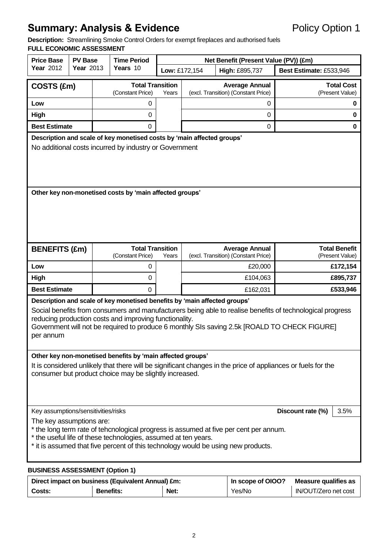# **Summary: Analysis & Evidence** Policy Option 1

**Description:** Streamlining Smoke Control Orders for exempt fireplaces and authorised fuels

# **FULL ECONOMIC ASSESSMENT**

| <b>Price Base</b><br><b>PV Base</b><br><b>Year 2012</b><br><b>Year 2013</b>                                                                                                                                                                                                                                                                                   |                                                                  |                         | <b>Time Period</b>                                                                                                               | Net Benefit (Present Value (PV)) (£m) |                                     |                                                              |                                         |  |
|---------------------------------------------------------------------------------------------------------------------------------------------------------------------------------------------------------------------------------------------------------------------------------------------------------------------------------------------------------------|------------------------------------------------------------------|-------------------------|----------------------------------------------------------------------------------------------------------------------------------|---------------------------------------|-------------------------------------|--------------------------------------------------------------|-----------------------------------------|--|
|                                                                                                                                                                                                                                                                                                                                                               |                                                                  | Years 10                |                                                                                                                                  | Low: £172,154<br>High: £895,737       |                                     |                                                              | Best Estimate: £533,946                 |  |
| COSTS (£m)                                                                                                                                                                                                                                                                                                                                                    |                                                                  | <b>Total Transition</b> |                                                                                                                                  |                                       | <b>Average Annual</b>               | <b>Total Cost</b>                                            |                                         |  |
|                                                                                                                                                                                                                                                                                                                                                               |                                                                  |                         | (Constant Price)                                                                                                                 | Years                                 | (excl. Transition) (Constant Price) |                                                              | (Present Value)                         |  |
| Low                                                                                                                                                                                                                                                                                                                                                           |                                                                  |                         | 0                                                                                                                                |                                       |                                     | 0                                                            | $\mathbf 0$                             |  |
| High                                                                                                                                                                                                                                                                                                                                                          |                                                                  |                         | 0                                                                                                                                |                                       |                                     | $\mathbf 0$                                                  | $\bf{0}$                                |  |
| <b>Best Estimate</b>                                                                                                                                                                                                                                                                                                                                          |                                                                  |                         | 0                                                                                                                                |                                       |                                     | 0                                                            | $\mathbf 0$                             |  |
|                                                                                                                                                                                                                                                                                                                                                               |                                                                  |                         | Description and scale of key monetised costs by 'main affected groups'<br>No additional costs incurred by industry or Government |                                       |                                     |                                                              |                                         |  |
|                                                                                                                                                                                                                                                                                                                                                               |                                                                  |                         |                                                                                                                                  |                                       |                                     |                                                              |                                         |  |
|                                                                                                                                                                                                                                                                                                                                                               | Other key non-monetised costs by 'main affected groups'          |                         |                                                                                                                                  |                                       |                                     |                                                              |                                         |  |
| <b>BENEFITS (£m)</b>                                                                                                                                                                                                                                                                                                                                          |                                                                  |                         | <b>Total Transition</b><br>(Constant Price)                                                                                      | Years                                 |                                     | <b>Average Annual</b><br>(excl. Transition) (Constant Price) | <b>Total Benefit</b><br>(Present Value) |  |
| Low                                                                                                                                                                                                                                                                                                                                                           |                                                                  |                         | 0                                                                                                                                |                                       |                                     | £20,000                                                      | £172,154                                |  |
| High                                                                                                                                                                                                                                                                                                                                                          |                                                                  |                         | 0                                                                                                                                |                                       |                                     | £104,063                                                     | £895,737                                |  |
| <b>Best Estimate</b>                                                                                                                                                                                                                                                                                                                                          |                                                                  |                         | 0                                                                                                                                |                                       |                                     | £162,031                                                     | £533,946                                |  |
| Description and scale of key monetised benefits by 'main affected groups'<br>Social benefits from consumers and manufacturers being able to realise benefits of technological progress<br>reducing production costs and improving functionality.<br>Government will not be required to produce 6 monthly SIs saving 2.5k [ROALD TO CHECK FIGURE]<br>per annum |                                                                  |                         |                                                                                                                                  |                                       |                                     |                                                              |                                         |  |
| Other key non-monetised benefits by 'main affected groups'<br>It is considered unlikely that there will be significant changes in the price of appliances or fuels for the<br>consumer but product choice may be slightly increased.                                                                                                                          |                                                                  |                         |                                                                                                                                  |                                       |                                     |                                                              |                                         |  |
|                                                                                                                                                                                                                                                                                                                                                               | Key assumptions/sensitivities/risks<br>Discount rate (%)<br>3.5% |                         |                                                                                                                                  |                                       |                                     |                                                              |                                         |  |
| The key assumptions are:<br>* the long term rate of tehcnological progress is assumed at five per cent per annum.<br>* the useful life of these technologies, assumed at ten years.<br>* it is assumed that five percent of this technology would be using new products.                                                                                      |                                                                  |                         |                                                                                                                                  |                                       |                                     |                                                              |                                         |  |

#### **BUSINESS ASSESSMENT (Option 1)**

|        | Direct impact on business (Equivalent Annual) £m: | In scope of OIOO?<br>Measure qualifies as |        |                      |
|--------|---------------------------------------------------|-------------------------------------------|--------|----------------------|
| Costs: | <b>Benefits:</b>                                  | Net:                                      | Yes/No | IN/OUT/Zero net cost |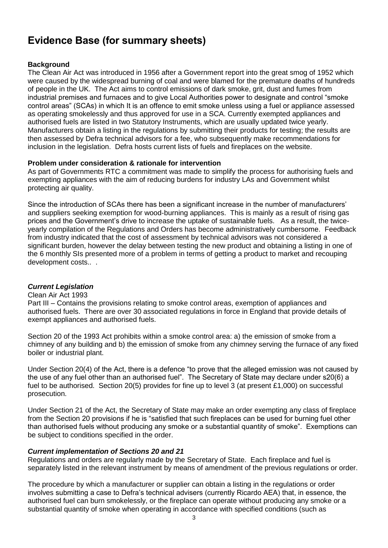# **Evidence Base (for summary sheets)**

## **Background**

The Clean Air Act was introduced in 1956 after a Government report into the great smog of 1952 which were caused by the widespread burning of coal and were blamed for the premature deaths of hundreds of people in the UK. The Act aims to control emissions of dark smoke, grit, dust and fumes from industrial premises and furnaces and to give Local Authorities power to designate and control "smoke control areas" (SCAs) in which It is an offence to emit smoke unless using a fuel or appliance assessed as operating smokelessly and thus approved for use in a SCA. Currently exempted appliances and authorised fuels are listed in two Statutory Instruments, which are usually updated twice yearly. Manufacturers obtain a listing in the regulations by submitting their products for testing; the results are then assessed by Defra technical advisors for a fee, who subsequently make recommendations for inclusion in the legislation. Defra hosts current lists of fuels and fireplaces on the website.

#### **Problem under consideration & rationale for intervention**

As part of Governments RTC a commitment was made to simplify the process for authorising fuels and exempting appliances with the aim of reducing burdens for industry LAs and Government whilst protecting air quality.

Since the introduction of SCAs there has been a significant increase in the number of manufacturers' and suppliers seeking exemption for wood-burning appliances. This is mainly as a result of rising gas prices and the Government's drive to increase the uptake of sustainable fuels. As a result, the twiceyearly compilation of the Regulations and Orders has become administratively cumbersome. Feedback from industry indicated that the cost of assessment by technical advisors was not considered a significant burden, however the delay between testing the new product and obtaining a listing in one of the 6 monthly SIs presented more of a problem in terms of getting a product to market and recouping development costs.. .

#### *Current Legislation*

#### Clean Air Act 1993

Part III – Contains the provisions relating to smoke control areas, exemption of appliances and authorised fuels. There are over 30 associated regulations in force in England that provide details of exempt appliances and authorised fuels.

Section 20 of the 1993 Act prohibits within a smoke control area: a) the emission of smoke from a chimney of any building and b) the emission of smoke from any chimney serving the furnace of any fixed boiler or industrial plant.

Under Section 20(4) of the Act, there is a defence "to prove that the alleged emission was not caused by the use of any fuel other than an authorised fuel". The Secretary of State may declare under s20(6) a fuel to be authorised. Section 20(5) provides for fine up to level 3 (at present £1,000) on successful prosecution.

Under Section 21 of the Act, the Secretary of State may make an order exempting any class of fireplace from the Section 20 provisions if he is "satisfied that such fireplaces can be used for burning fuel other than authorised fuels without producing any smoke or a substantial quantity of smoke". Exemptions can be subject to conditions specified in the order.

#### *Current implementation of Sections 20 and 21*

Regulations and orders are regularly made by the Secretary of State. Each fireplace and fuel is separately listed in the relevant instrument by means of amendment of the previous regulations or order.

The procedure by which a manufacturer or supplier can obtain a listing in the regulations or order involves submitting a case to Defra's technical advisers (currently Ricardo AEA) that, in essence, the authorised fuel can burn smokelessly, or the fireplace can operate without producing any smoke or a substantial quantity of smoke when operating in accordance with specified conditions (such as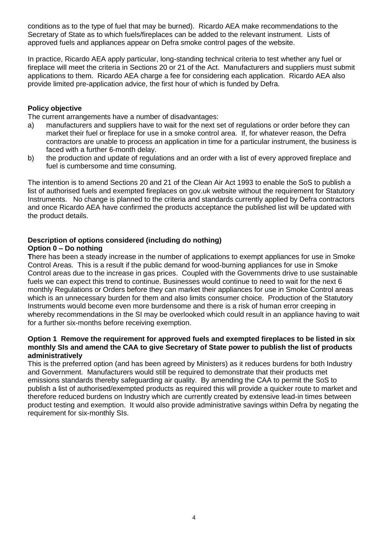conditions as to the type of fuel that may be burned). Ricardo AEA make recommendations to the Secretary of State as to which fuels/fireplaces can be added to the relevant instrument. Lists of approved fuels and appliances appear on Defra smoke control pages of the website.

In practice, Ricardo AEA apply particular, long-standing technical criteria to test whether any fuel or fireplace will meet the criteria in Sections 20 or 21 of the Act. Manufacturers and suppliers must submit applications to them. Ricardo AEA charge a fee for considering each application. Ricardo AEA also provide limited pre-application advice, the first hour of which is funded by Defra.

### **Policy objective**

The current arrangements have a number of disadvantages:

- a) manufacturers and suppliers have to wait for the next set of regulations or order before they can market their fuel or fireplace for use in a smoke control area. If, for whatever reason, the Defra contractors are unable to process an application in time for a particular instrument, the business is faced with a further 6-month delay.
- b) the production and update of regulations and an order with a list of every approved fireplace and fuel is cumbersome and time consuming.

The intention is to amend Sections 20 and 21 of the Clean Air Act 1993 to enable the SoS to publish a list of authorised fuels and exempted fireplaces on gov.uk website without the requirement for Statutory Instruments. No change is planned to the criteria and standards currently applied by Defra contractors and once Ricardo AEA have confirmed the products acceptance the published list will be updated with the product details.

# **Description of options considered (including do nothing)**

### **Option 0 – Do nothing**

**T**here has been a steady increase in the number of applications to exempt appliances for use in Smoke Control Areas. This is a result if the public demand for wood-burning appliances for use in Smoke Control areas due to the increase in gas prices. Coupled with the Governments drive to use sustainable fuels we can expect this trend to continue. Businesses would continue to need to wait for the next 6 monthly Regulations or Orders before they can market their appliances for use in Smoke Control areas which is an unnecessary burden for them and also limits consumer choice. Production of the Statutory Instruments would become even more burdensome and there is a risk of human error creeping in whereby recommendations in the SI may be overlooked which could result in an appliance having to wait for a further six-months before receiving exemption.

#### **Option 1 Remove the requirement for approved fuels and exempted fireplaces to be listed in six monthly SIs and amend the CAA to give Secretary of State power to publish the list of products administratively**

This is the preferred option (and has been agreed by Ministers) as it reduces burdens for both Industry and Government. Manufacturers would still be required to demonstrate that their products met emissions standards thereby safeguarding air quality. By amending the CAA to permit the SoS to publish a list of authorised/exempted products as required this will provide a quicker route to market and therefore reduced burdens on Industry which are currently created by extensive lead-in times between product testing and exemption. It would also provide administrative savings within Defra by negating the requirement for six-monthly SIs.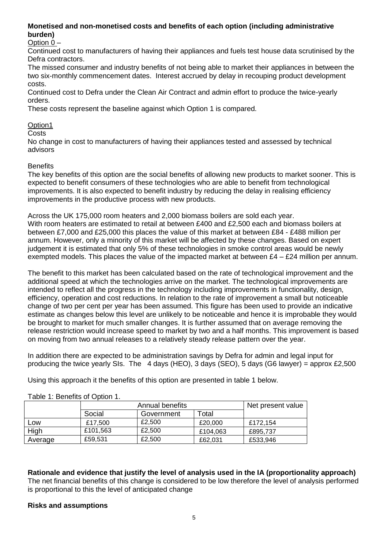## **Monetised and non-monetised costs and benefits of each option (including administrative burden)**

Option 0 –

Continued cost to manufacturers of having their appliances and fuels test house data scrutinised by the Defra contractors.

The missed consumer and industry benefits of not being able to market their appliances in between the two six-monthly commencement dates. Interest accrued by delay in recouping product development costs.

Continued cost to Defra under the Clean Air Contract and admin effort to produce the twice-yearly orders.

These costs represent the baseline against which Option 1 is compared.

## Option1

**Costs** 

No change in cost to manufacturers of having their appliances tested and assessed by technical advisors

#### **Benefits**

The key benefits of this option are the social benefits of allowing new products to market sooner. This is expected to benefit consumers of these technologies who are able to benefit from technological improvements. It is also expected to benefit industry by reducing the delay in realising efficiency improvements in the productive process with new products.

Across the UK 175,000 room heaters and 2,000 biomass boilers are sold each year. With room heaters are estimated to retail at between £400 and £2,500 each and biomass boilers at between £7,000 and £25,000 this places the value of this market at between £84 - £488 million per annum. However, only a minority of this market will be affected by these changes. Based on expert judgement it is estimated that only 5% of these technologies in smoke control areas would be newly exempted models. This places the value of the impacted market at between  $£4 - £24$  million per annum.

The benefit to this market has been calculated based on the rate of technological improvement and the additional speed at which the technologies arrive on the market. The technological improvements are intended to reflect all the progress in the technology including improvements in functionality, design, efficiency, operation and cost reductions. In relation to the rate of improvement a small but noticeable change of two per cent per year has been assumed. This figure has been used to provide an indicative estimate as changes below this level are unlikely to be noticeable and hence it is improbable they would be brought to market for much smaller changes. It is further assumed that on average removing the release restriction would increase speed to market by two and a half months. This improvement is based on moving from two annual releases to a relatively steady release pattern over the year.

In addition there are expected to be administration savings by Defra for admin and legal input for producing the twice yearly SIs. The 4 days (HEO), 3 days (SEO), 5 days (G6 lawyer) = approx  $£2,500$ 

Using this approach it the benefits of this option are presented in table 1 below.

|         |          | Net present value |          |          |  |
|---------|----------|-------------------|----------|----------|--|
|         | Social   | Government        | Total    |          |  |
| LOW     | £17,500  | £2,500            | £20,000  | £172.154 |  |
| High    | £101.563 | £2,500            | £104.063 | £895.737 |  |
| Average | £59,531  | £2,500            | £62,031  | £533,946 |  |

Table 1: Benefits of Option 1.

**Rationale and evidence that justify the level of analysis used in the IA (proportionality approach)** The net financial benefits of this change is considered to be low therefore the level of analysis performed is proportional to this the level of anticipated change

#### **Risks and assumptions**